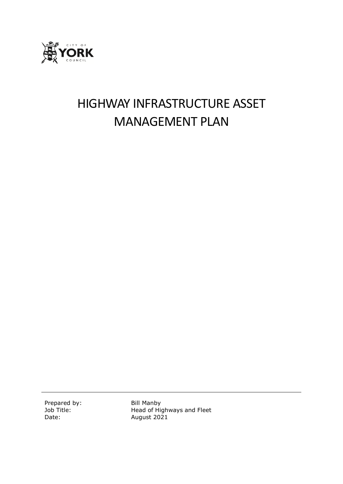

# HIGHWAY INFRASTRUCTURE ASSET MANAGEMENT PLAN

Prepared by: Bill Manby

Job Title: Head of Highways and Fleet Date: **August 2021**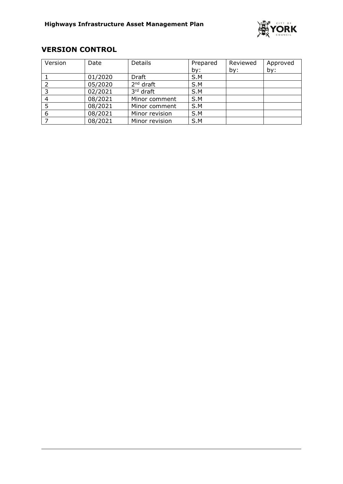

# **VERSION CONTROL**

| Version | Date    | Details        | Prepared | Reviewed | Approved |
|---------|---------|----------------|----------|----------|----------|
|         |         |                | by:      | by:      | by:      |
|         | 01/2020 | Draft          | S.M      |          |          |
|         | 05/2020 | $2nd$ draft    | S.M      |          |          |
|         | 02/2021 | 3rd draft      | S.M      |          |          |
|         | 08/2021 | Minor comment  | S.M      |          |          |
|         | 08/2021 | Minor comment  | S.M      |          |          |
| 6       | 08/2021 | Minor revision | S.M      |          |          |
|         | 08/2021 | Minor revision | S.M      |          |          |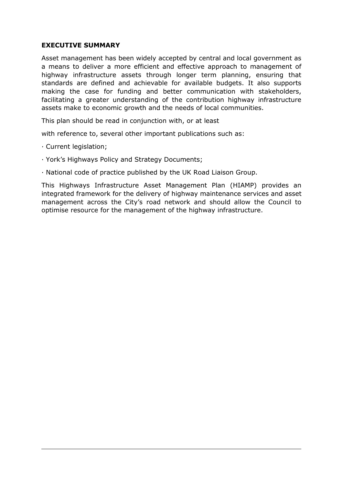#### **EXECUTIVE SUMMARY**

Asset management has been widely accepted by central and local government as a means to deliver a more efficient and effective approach to management of highway infrastructure assets through longer term planning, ensuring that standards are defined and achievable for available budgets. It also supports making the case for funding and better communication with stakeholders, facilitating a greater understanding of the contribution highway infrastructure assets make to economic growth and the needs of local communities.

This plan should be read in conjunction with, or at least

with reference to, several other important publications such as:

- · Current legislation;
- · York's Highways Policy and Strategy Documents;
- · National code of practice published by the UK Road Liaison Group.

This Highways Infrastructure Asset Management Plan (HIAMP) provides an integrated framework for the delivery of highway maintenance services and asset management across the City's road network and should allow the Council to optimise resource for the management of the highway infrastructure.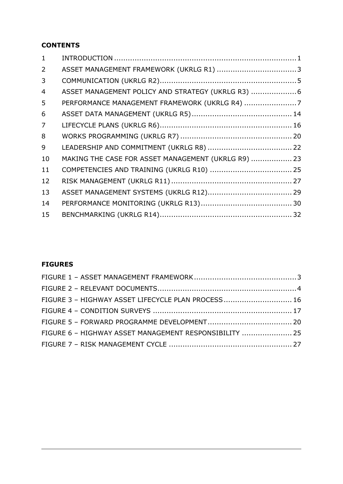# **CONTENTS**

| $\mathbf{1}$   |                                                     |  |
|----------------|-----------------------------------------------------|--|
| $\overline{2}$ |                                                     |  |
| 3              |                                                     |  |
| 4              | ASSET MANAGEMENT POLICY AND STRATEGY (UKRLG R3)  6  |  |
| 5              |                                                     |  |
| 6              |                                                     |  |
| $\overline{7}$ |                                                     |  |
| 8              |                                                     |  |
| 9              |                                                     |  |
| 10             | MAKING THE CASE FOR ASSET MANAGEMENT (UKRLG R9)  23 |  |
| 11             |                                                     |  |
| 12             |                                                     |  |
| 13             |                                                     |  |
| 14             |                                                     |  |
| 15             |                                                     |  |

# **FIGURES**

| FIGURE 3 - HIGHWAY ASSET LIFECYCLE PLAN PROCESS 16     |  |
|--------------------------------------------------------|--|
|                                                        |  |
|                                                        |  |
| FIGURE 6 - HIGHWAY ASSET MANAGEMENT RESPONSIBILITY  25 |  |
|                                                        |  |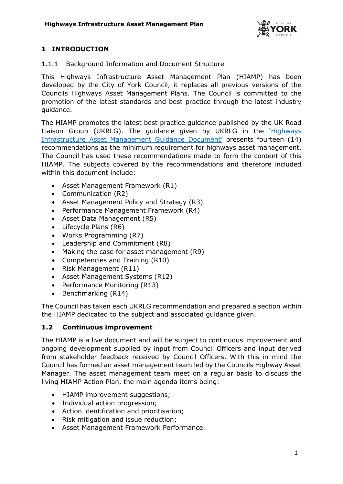

# <span id="page-4-0"></span>**1 INTRODUCTION**

# 1.1.1 Background Information and Document Structure

This Highways Infrastructure Asset Management Plan (HIAMP) has been developed by the City of York Council, it replaces all previous versions of the Councils Highways Asset Management Plans. The Council is committed to the promotion of the latest standards and best practice through the latest industry guidance.

The HIAMP promotes the latest best practice guidance published by the UK Road Liaison Group (UKRLG). The guidance given by UKRLG in the '[Highways](https://ukrlg.ciht.org.uk/media/11918/hmep_ukrlg_asset_management_guidance_130520.pdf)  [Infrastructure Asset Management Guidance Document](https://ukrlg.ciht.org.uk/media/11918/hmep_ukrlg_asset_management_guidance_130520.pdf)' presents fourteen (14) recommendations as the minimum requirement for highways asset management. The Council has used these recommendations made to form the content of this HIAMP. The subjects covered by the recommendations and therefore included within this document include:

- Asset Management Framework (R1)
- Communication (R2)
- Asset Management Policy and Strategy (R3)
- Performance Management Framework (R4)
- Asset Data Management (R5)
- Lifecycle Plans (R6)
- Works Programming (R7)
- Leadership and Commitment (R8)
- Making the case for asset management (R9)
- Competencies and Training (R10)
- Risk Management (R11)
- Asset Management Systems (R12)
- Performance Monitoring (R13)
- $\bullet$  Benchmarking (R14)

The Council has taken each UKRLG recommendation and prepared a section within the HIAMP dedicated to the subject and associated guidance given.

# **1.2 Continuous improvement**

The HIAMP is a live document and will be subject to continuous improvement and ongoing development supplied by input from Council Officers and input derived from stakeholder feedback received by Council Officers. With this in mind the Council has formed an asset management team led by the Councils Highway Asset Manager. The asset management team meet on a regular basis to discuss the living HIAMP Action Plan, the main agenda items being:

- HIAMP improvement suggestions;
- Individual action progression:
- Action identification and prioritisation;
- Risk mitigation and issue reduction;
- Asset Management Framework Performance.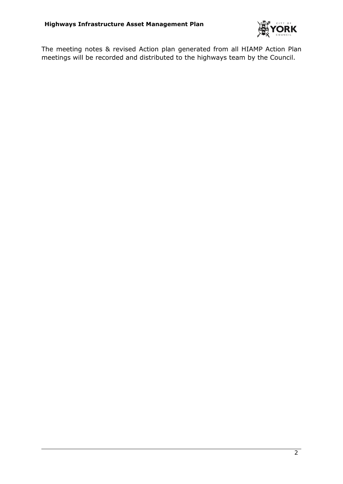

The meeting notes & revised Action plan generated from all HIAMP Action Plan meetings will be recorded and distributed to the highways team by the Council.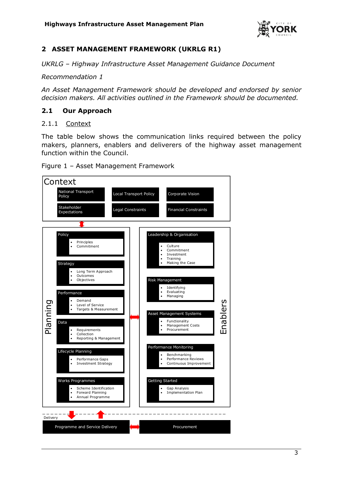

# <span id="page-6-0"></span>**2 ASSET MANAGEMENT FRAMEWORK (UKRLG R1)**

*UKRLG – Highway Infrastructure Asset Management Guidance Document*

*Recommendation 1* 

*An Asset Management Framework should be developed and endorsed by senior decision makers. All activities outlined in the Framework should be documented.*

# **2.1 Our Approach**

#### 2.1.1 Context

The table below shows the communication links required between the policy makers, planners, enablers and deliverers of the highway asset management function within the Council.

<span id="page-6-1"></span>

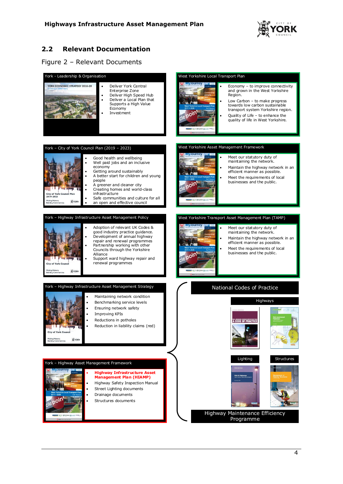

# **2.2 Relevant Documentation**

#### <span id="page-7-0"></span>Figure 2 – Relevant Documents

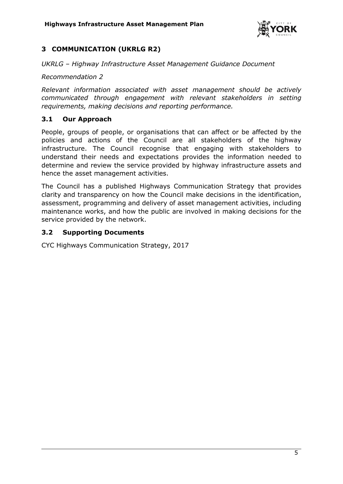

# <span id="page-8-0"></span>**3 COMMUNICATION (UKRLG R2)**

*UKRLG – Highway Infrastructure Asset Management Guidance Document*

*Recommendation 2* 

*Relevant information associated with asset management should be actively communicated through engagement with relevant stakeholders in setting requirements, making decisions and reporting performance.*

# **3.1 Our Approach**

People, groups of people, or organisations that can affect or be affected by the policies and actions of the Council are all stakeholders of the highway infrastructure. The Council recognise that engaging with stakeholders to understand their needs and expectations provides the information needed to determine and review the service provided by highway infrastructure assets and hence the asset management activities.

The Council has a published Highways Communication Strategy that provides clarity and transparency on how the Council make decisions in the identification, assessment, programming and delivery of asset management activities, including maintenance works, and how the public are involved in making decisions for the service provided by the network.

# **3.2 Supporting Documents**

CYC Highways Communication Strategy, 2017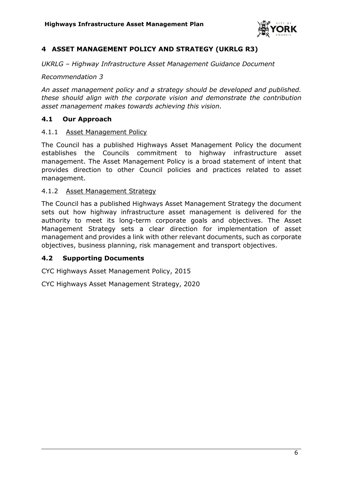

# <span id="page-9-0"></span>**4 ASSET MANAGEMENT POLICY AND STRATEGY (UKRLG R3)**

*UKRLG – Highway Infrastructure Asset Management Guidance Document*

*Recommendation 3* 

*An asset management policy and a strategy should be developed and published. these should align with the corporate vision and demonstrate the contribution asset management makes towards achieving this vision.*

#### **4.1 Our Approach**

#### 4.1.1 Asset Management Policy

The Council has a published Highways Asset Management Policy the document establishes the Councils commitment to highway infrastructure asset management. The Asset Management Policy is a broad statement of intent that provides direction to other Council policies and practices related to asset management.

#### 4.1.2 Asset Management Strategy

The Council has a published Highways Asset Management Strategy the document sets out how highway infrastructure asset management is delivered for the authority to meet its long-term corporate goals and objectives. The Asset Management Strategy sets a clear direction for implementation of asset management and provides a link with other relevant documents, such as corporate objectives, business planning, risk management and transport objectives.

#### **4.2 Supporting Documents**

CYC Highways Asset Management Policy, 2015

CYC Highways Asset Management Strategy, 2020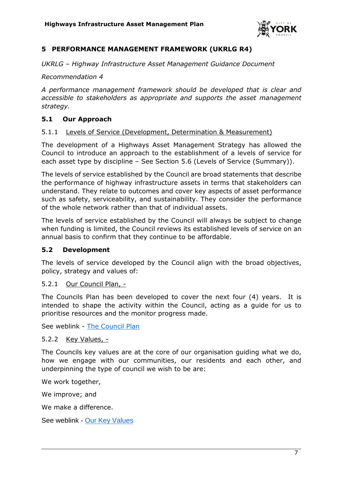

# <span id="page-10-0"></span>**5 PERFORMANCE MANAGEMENT FRAMEWORK (UKRLG R4)**

*UKRLG – Highway Infrastructure Asset Management Guidance Document*

*Recommendation 4* 

*A performance management framework should be developed that is clear and accessible to stakeholders as appropriate and supports the asset management strategy.* 

# **5.1 Our Approach**

#### 5.1.1 Levels of Service (Development, Determination & Measurement)

The development of a Highways Asset Management Strategy has allowed the Council to introduce an approach to the establishment of a levels of service for each asset type by discipline – See Section 5.6 (Levels of Service (Summary)).

The levels of service established by the Council are broad statements that describe the performance of highway infrastructure assets in terms that stakeholders can understand. They relate to outcomes and cover key aspects of asset performance such as safety, serviceability, and sustainability. They consider the performance of the whole network rather than that of individual assets.

The levels of service established by the Council will always be subject to change when funding is limited, the Council reviews its established levels of service on an annual basis to confirm that they continue to be affordable.

#### **5.2 Development**

The levels of service developed by the Council align with the broad objectives, policy, strategy and values of:

#### 5.2.1 Our Council Plan, -

The Councils Plan has been developed to cover the next four (4) years. It is intended to shape the activity within the Council, acting as a guide for us to prioritise resources and the monitor progress made.

See weblink - [The Council Plan](https://www.york.gov.uk/performance-policies/council-plan?documentId=1228&categoryId=20036)

#### 5.2.2 Key Values, -

The Councils key values are at the core of our organisation guiding what we do, how we engage with our communities, our residents and each other, and underpinning the type of council we wish to be are:

We work together,

We improve; and

We make a difference.

See weblink - [Our Key Values](https://www.york.gov.uk/ourkeyvalues)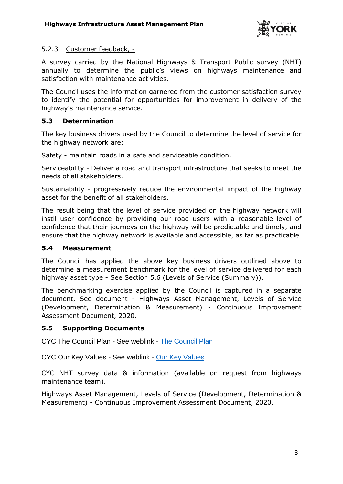

# 5.2.3 Customer feedback, -

A survey carried by the National Highways & Transport Public survey (NHT) annually to determine the public's views on highways maintenance and satisfaction with maintenance activities.

The Council uses the information garnered from the customer satisfaction survey to identify the potential for opportunities for improvement in delivery of the highway's maintenance service.

# **5.3 Determination**

The key business drivers used by the Council to determine the level of service for the highway network are:

Safety - maintain roads in a safe and serviceable condition.

Serviceability - Deliver a road and transport infrastructure that seeks to meet the needs of all stakeholders.

Sustainability - progressively reduce the environmental impact of the highway asset for the benefit of all stakeholders.

The result being that the level of service provided on the highway network will instil user confidence by providing our road users with a reasonable level of confidence that their journeys on the highway will be predictable and timely, and ensure that the highway network is available and accessible, as far as practicable.

#### **5.4 Measurement**

The Council has applied the above key business drivers outlined above to determine a measurement benchmark for the level of service delivered for each highway asset type - See Section 5.6 (Levels of Service (Summary)).

The benchmarking exercise applied by the Council is captured in a separate document, See document - Highways Asset Management, Levels of Service (Development, Determination & Measurement) - Continuous Improvement Assessment Document, 2020.

# **5.5 Supporting Documents**

CYC The Council Plan - See weblink - [The Council Plan](https://www.york.gov.uk/performance-policies/council-plan?documentId=1228&categoryId=20036)

CYC Our Key Values - See weblink - [Our Key Values](https://www.york.gov.uk/ourkeyvalues)

CYC NHT survey data & information (available on request from highways maintenance team).

Highways Asset Management, Levels of Service (Development, Determination & Measurement) - Continuous Improvement Assessment Document, 2020.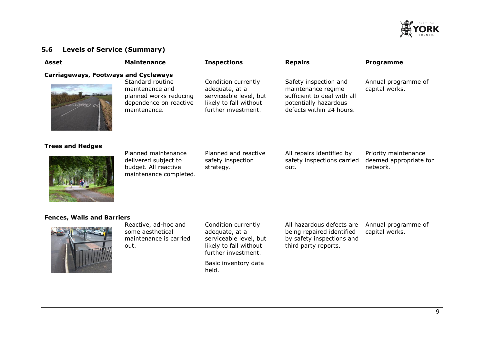

#### **5.6 Levels of Service (Summary)**

| Asset                                       | <b>Maintenance</b>                                                                                      | <b>Inspections</b>                                                                                               | <b>Repairs</b>                                                                                                                  | <b>Programme</b>                                           |
|---------------------------------------------|---------------------------------------------------------------------------------------------------------|------------------------------------------------------------------------------------------------------------------|---------------------------------------------------------------------------------------------------------------------------------|------------------------------------------------------------|
| <b>Carriageways, Footways and Cycleways</b> | Standard routine<br>maintenance and<br>planned works reducing<br>dependence on reactive<br>maintenance. | Condition currently<br>adequate, at a<br>serviceable level, but<br>likely to fall without<br>further investment. | Safety inspection and<br>maintenance regime<br>sufficient to deal with all<br>potentially hazardous<br>defects within 24 hours. | Annual programme of<br>capital works.                      |
| <b>Trees and Hedges</b>                     | Planned maintenance<br>delivered subject to<br>budget. All reactive<br>maintenance completed.           | Planned and reactive<br>safety inspection<br>strategy.                                                           | All repairs identified by<br>safety inspections carried<br>out.                                                                 | Priority maintenance<br>deemed appropriate for<br>network. |

#### **Fences, Walls and Barriers**



Reactive, ad-hoc and some aesthetical maintenance is carried out.

Condition currently adequate, at a serviceable level, but likely to fall without further investment.

Basic inventory data held.

All hazardous defects are being repaired identified by safety inspections and third party reports. Annual programme of capital works.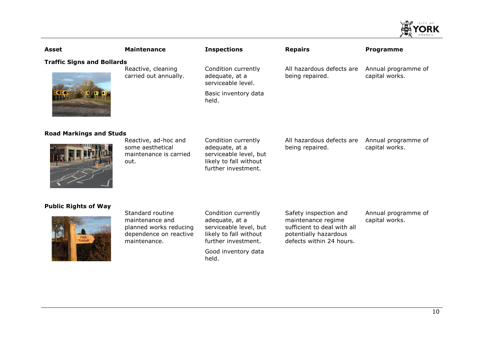| <b>Asset</b>                      | <b>Maintenance</b>                                                         | <b>Inspections</b>                                                                                               | <b>Repairs</b>                               | Programme                             |
|-----------------------------------|----------------------------------------------------------------------------|------------------------------------------------------------------------------------------------------------------|----------------------------------------------|---------------------------------------|
| <b>Traffic Signs and Bollards</b> | Reactive, cleaning<br>carried out annually.                                | Condition currently<br>adequate, at a<br>serviceable level.<br>Basic inventory data<br>held.                     | All hazardous defects are<br>being repaired. | Annual programme of<br>capital works. |
| <b>Road Markings and Studs</b>    | Reactive, ad-hoc and<br>some aesthetical<br>maintenance is carried<br>out. | Condition currently<br>adequate, at a<br>serviceable level, but<br>likely to fall without<br>further investment. | All hazardous defects are<br>being repaired. | Annual programme of<br>capital works. |
| <b>Public Rights of Way</b>       |                                                                            |                                                                                                                  |                                              |                                       |

#### **Public Right**



Standard routine maintenance and planned works reducing dependence on reactive maintenance.

Condition currently adequate, at a serviceable level, but likely to fall without further investment.

Good inventory data held.

Safety inspection and maintenance regime sufficient to deal with all potentially hazardous defects within 24 hours.

Annual programme of capital works.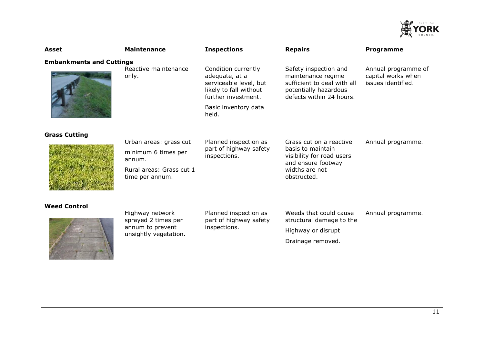

| Asset                           | <b>Maintenance</b>                                                                                     | <b>Inspections</b>                                                                                                                                | <b>Repairs</b>                                                                                                                   | <b>Programme</b>                                                |
|---------------------------------|--------------------------------------------------------------------------------------------------------|---------------------------------------------------------------------------------------------------------------------------------------------------|----------------------------------------------------------------------------------------------------------------------------------|-----------------------------------------------------------------|
| <b>Embankments and Cuttings</b> | Reactive maintenance<br>only.                                                                          | Condition currently<br>adequate, at a<br>serviceable level, but<br>likely to fall without<br>further investment.<br>Basic inventory data<br>held. | Safety inspection and<br>maintenance regime<br>sufficient to deal with all<br>potentially hazardous<br>defects within 24 hours.  | Annual programme of<br>capital works when<br>issues identified. |
| <b>Grass Cutting</b>            | Urban areas: grass cut<br>minimum 6 times per<br>annum.<br>Rural areas: Grass cut 1<br>time per annum. | Planned inspection as<br>part of highway safety<br>inspections.                                                                                   | Grass cut on a reactive<br>basis to maintain<br>visibility for road users<br>and ensure footway<br>widths are not<br>obstructed. | Annual programme.                                               |
| <b>Weed Control</b>             | Highway network<br>sprayed 2 times per<br>annum to prevent<br>unsightly vegetation.                    | Planned inspection as<br>part of highway safety<br>inspections.                                                                                   | Weeds that could cause<br>structural damage to the<br>Highway or disrupt<br>Drainage removed.                                    | Annual programme.                                               |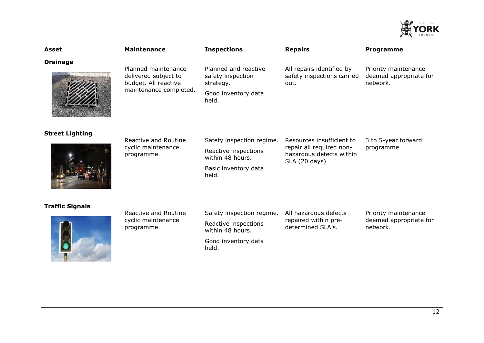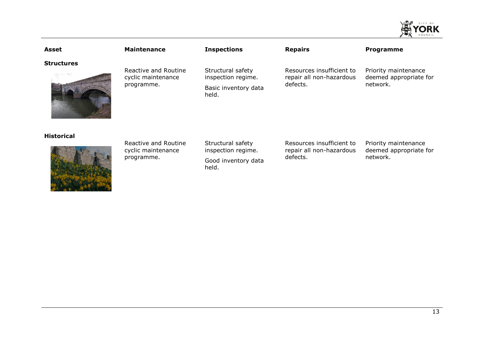| <b>Asset</b>      | <b>Maintenance</b>                                       | <b>Inspections</b>                                                       | <b>Repairs</b>                                                    | Programme                                                  |
|-------------------|----------------------------------------------------------|--------------------------------------------------------------------------|-------------------------------------------------------------------|------------------------------------------------------------|
| <b>Structures</b> | Reactive and Routine<br>cyclic maintenance<br>programme. | Structural safety<br>inspection regime.<br>Basic inventory data<br>held. | Resources insufficient to<br>repair all non-hazardous<br>defects. | Priority maintenance<br>deemed appropriate for<br>network. |
| <b>Historical</b> | Reactive and Routine<br>cyclic maintenance<br>programme. | Structural safety<br>inspection regime.<br>Good inventory data<br>held.  | Resources insufficient to<br>repair all non-hazardous<br>defects. | Priority maintenance<br>deemed appropriate for<br>network. |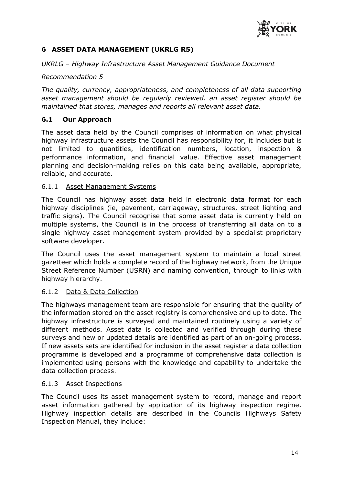

# <span id="page-17-0"></span>**6 ASSET DATA MANAGEMENT (UKRLG R5)**

*UKRLG – Highway Infrastructure Asset Management Guidance Document*

#### *Recommendation 5*

*The quality, currency, appropriateness, and completeness of all data supporting asset management should be regularly reviewed. an asset register should be maintained that stores, manages and reports all relevant asset data.* 

#### **6.1 Our Approach**

The asset data held by the Council comprises of information on what physical highway infrastructure assets the Council has responsibility for, it includes but is not limited to quantities, identification numbers, location, inspection & performance information, and financial value. Effective asset management planning and decision-making relies on this data being available, appropriate, reliable, and accurate.

#### 6.1.1 Asset Management Systems

The Council has highway asset data held in electronic data format for each highway disciplines (ie, pavement, carriageway, structures, street lighting and traffic signs). The Council recognise that some asset data is currently held on multiple systems, the Council is in the process of transferring all data on to a single highway asset management system provided by a specialist proprietary software developer.

The Council uses the asset management system to maintain a local street gazetteer which holds a complete record of the highway network, from the Unique Street Reference Number (USRN) and naming convention, through to links with highway hierarchy.

#### 6.1.2 Data & Data Collection

The highways management team are responsible for ensuring that the quality of the information stored on the asset registry is comprehensive and up to date. The highway infrastructure is surveyed and maintained routinely using a variety of different methods. Asset data is collected and verified through during these surveys and new or updated details are identified as part of an on-going process. If new assets sets are identified for inclusion in the asset register a data collection programme is developed and a programme of comprehensive data collection is implemented using persons with the knowledge and capability to undertake the data collection process.

#### 6.1.3 Asset Inspections

The Council uses its asset management system to record, manage and report asset information gathered by application of its highway inspection regime. Highway inspection details are described in the Councils Highways Safety Inspection Manual, they include: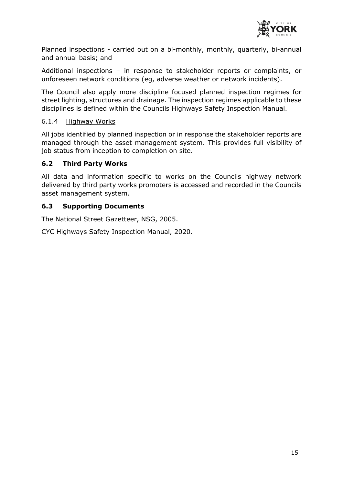

Planned inspections - carried out on a bi-monthly, monthly, quarterly, bi-annual and annual basis; and

Additional inspections – in response to stakeholder reports or complaints, or unforeseen network conditions (eg, adverse weather or network incidents).

The Council also apply more discipline focused planned inspection regimes for street lighting, structures and drainage. The inspection regimes applicable to these disciplines is defined within the Councils Highways Safety Inspection Manual.

#### 6.1.4 Highway Works

All jobs identified by planned inspection or in response the stakeholder reports are managed through the asset management system. This provides full visibility of job status from inception to completion on site.

#### **6.2 Third Party Works**

All data and information specific to works on the Councils highway network delivered by third party works promoters is accessed and recorded in the Councils asset management system.

#### **6.3 Supporting Documents**

The National Street Gazetteer, NSG, 2005.

CYC Highways Safety Inspection Manual, 2020.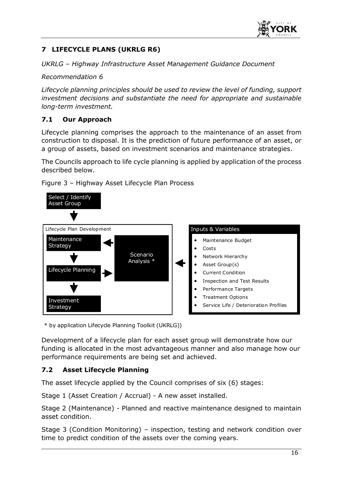

# <span id="page-19-0"></span>**7 LIFECYCLE PLANS (UKRLG R6)**

*UKRLG – Highway Infrastructure Asset Management Guidance Document*

*Recommendation 6* 

*Lifecycle planning principles should be used to review the level of funding, support investment decisions and substantiate the need for appropriate and sustainable long-term investment.* 

# **7.1 Our Approach**

Lifecycle planning comprises the approach to the maintenance of an asset from construction to disposal. It is the prediction of future performance of an asset, or a group of assets, based on investment scenarios and maintenance strategies.

The Councils approach to life cycle planning is applied by application of the process described below.



<span id="page-19-1"></span>Figure 3 – Highway Asset Lifecycle Plan Process

\* by application Lifecycle Planning Toolkit (UKRLG))

Development of a lifecycle plan for each asset group will demonstrate how our funding is allocated in the most advantageous manner and also manage how our performance requirements are being set and achieved.

# **7.2 Asset Lifecycle Planning**

The asset lifecycle applied by the Council comprises of six (6) stages:

Stage 1 (Asset Creation / Accrual) - A new asset installed.

Stage 2 (Maintenance) - Planned and reactive maintenance designed to maintain asset condition.

Stage 3 (Condition Monitoring) – inspection, testing and network condition over time to predict condition of the assets over the coming years.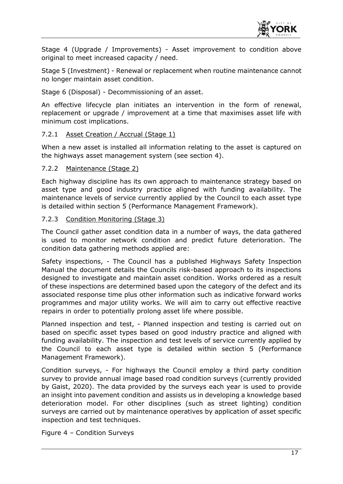

Stage 4 (Upgrade / Improvements) - Asset improvement to condition above original to meet increased capacity / need.

Stage 5 (Investment) - Renewal or replacement when routine maintenance cannot no longer maintain asset condition.

Stage 6 (Disposal) - Decommissioning of an asset.

An effective lifecycle plan initiates an intervention in the form of renewal, replacement or upgrade / improvement at a time that maximises asset life with minimum cost implications.

#### 7.2.1 Asset Creation / Accrual (Stage 1)

When a new asset is installed all information relating to the asset is captured on the highways asset management system (see section 4).

#### 7.2.2 Maintenance (Stage 2)

Each highway discipline has its own approach to maintenance strategy based on asset type and good industry practice aligned with funding availability. The maintenance levels of service currently applied by the Council to each asset type is detailed within section 5 (Performance Management Framework).

#### 7.2.3 Condition Monitoring (Stage 3)

The Council gather asset condition data in a number of ways, the data gathered is used to monitor network condition and predict future deterioration. The condition data gathering methods applied are:

Safety inspections, - The Council has a published Highways Safety Inspection Manual the document details the Councils risk-based approach to its inspections designed to investigate and maintain asset condition. Works ordered as a result of these inspections are determined based upon the category of the defect and its associated response time plus other information such as indicative forward works programmes and major utility works. We will aim to carry out effective reactive repairs in order to potentially prolong asset life where possible.

Planned inspection and test, - Planned inspection and testing is carried out on based on specific asset types based on good industry practice and aligned with funding availability. The inspection and test levels of service currently applied by the Council to each asset type is detailed within section 5 (Performance Management Framework).

Condition surveys, - For highways the Council employ a third party condition survey to provide annual image based road condition surveys (currently provided by Gaist, 2020). The data provided by the surveys each year is used to provide an insight into pavement condition and assists us in developing a knowledge based deterioration model. For other disciplines (such as street lighting) condition surveys are carried out by maintenance operatives by application of asset specific inspection and test techniques.

<span id="page-20-0"></span>Figure 4 – Condition Surveys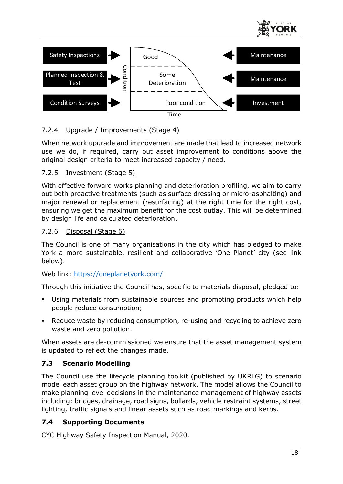



# 7.2.4 Upgrade / Improvements (Stage 4)

When network upgrade and improvement are made that lead to increased network use we do, if required, carry out asset improvement to conditions above the original design criteria to meet increased capacity / need.

# 7.2.5 Investment (Stage 5)

With effective forward works planning and deterioration profiling, we aim to carry out both proactive treatments (such as surface dressing or micro-asphalting) and major renewal or replacement (resurfacing) at the right time for the right cost, ensuring we get the maximum benefit for the cost outlay. This will be determined by design life and calculated deterioration.

# 7.2.6 Disposal (Stage 6)

The Council is one of many organisations in the city which has pledged to make York a more sustainable, resilient and collaborative 'One Planet' city (see link below).

Web link:<https://oneplanetyork.com/>

Through this initiative the Council has, specific to materials disposal, pledged to:

- Using materials from sustainable sources and promoting products which help people reduce consumption;
- Reduce waste by reducing consumption, re-using and recycling to achieve zero waste and zero pollution.

When assets are de-commissioned we ensure that the asset management system is updated to reflect the changes made.

# **7.3 Scenario Modelling**

The Council use the lifecycle planning toolkit (published by UKRLG) to scenario model each asset group on the highway network. The model allows the Council to make planning level decisions in the maintenance management of highway assets including: bridges, drainage, road signs, bollards, vehicle restraint systems, street lighting, traffic signals and linear assets such as road markings and kerbs.

# **7.4 Supporting Documents**

CYC Highway Safety Inspection Manual, 2020.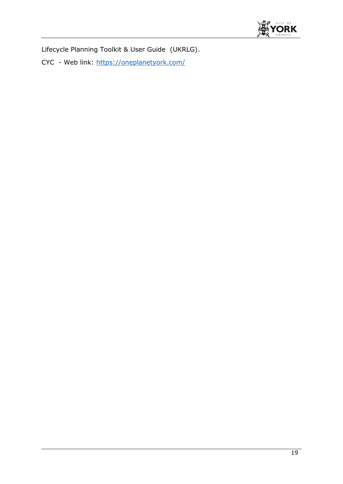

Lifecycle Planning Toolkit & User Guide (UKRLG).

CYC - Web link:<https://oneplanetyork.com/>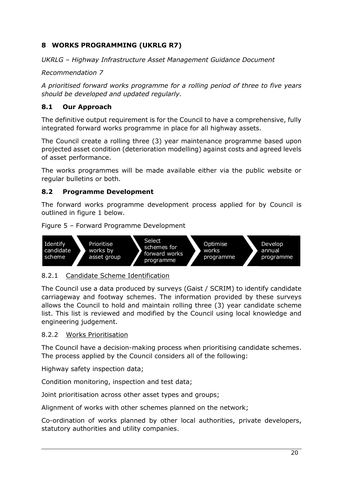# <span id="page-23-0"></span>**8 WORKS PROGRAMMING (UKRLG R7)**

*UKRLG – Highway Infrastructure Asset Management Guidance Document*

*Recommendation 7* 

*A prioritised forward works programme for a rolling period of three to five years should be developed and updated regularly.* 

# **8.1 Our Approach**

The definitive output requirement is for the Council to have a comprehensive, fully integrated forward works programme in place for all highway assets.

The Council create a rolling three (3) year maintenance programme based upon projected asset condition (deterioration modelling) against costs and agreed levels of asset performance.

The works programmes will be made available either via the public website or regular bulletins or both.

# **8.2 Programme Development**

The forward works programme development process applied for by Council is outlined in figure 1 below.

<span id="page-23-1"></span>Figure 5 – Forward Programme Development



# 8.2.1 Candidate Scheme Identification

The Council use a data produced by surveys (Gaist / SCRIM) to identify candidate carriageway and footway schemes. The information provided by these surveys allows the Council to hold and maintain rolling three (3) year candidate scheme list. This list is reviewed and modified by the Council using local knowledge and engineering judgement.

# 8.2.2 Works Prioritisation

The Council have a decision-making process when prioritising candidate schemes. The process applied by the Council considers all of the following:

Highway safety inspection data;

Condition monitoring, inspection and test data;

Joint prioritisation across other asset types and groups;

Alignment of works with other schemes planned on the network;

Co-ordination of works planned by other local authorities, private developers, statutory authorities and utility companies.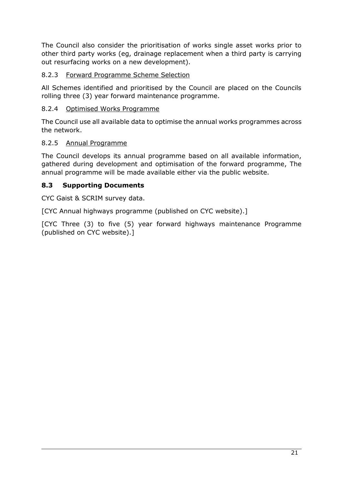The Council also consider the prioritisation of works single asset works prior to other third party works (eg, drainage replacement when a third party is carrying out resurfacing works on a new development).

# 8.2.3 Forward Programme Scheme Selection

All Schemes identified and prioritised by the Council are placed on the Councils rolling three (3) year forward maintenance programme.

# 8.2.4 Optimised Works Programme

The Council use all available data to optimise the annual works programmes across the network.

# 8.2.5 Annual Programme

The Council develops its annual programme based on all available information, gathered during development and optimisation of the forward programme, The annual programme will be made available either via the public website.

# **8.3 Supporting Documents**

CYC Gaist & SCRIM survey data.

[CYC Annual highways programme (published on CYC website).]

[CYC Three (3) to five (5) year forward highways maintenance Programme (published on CYC website).]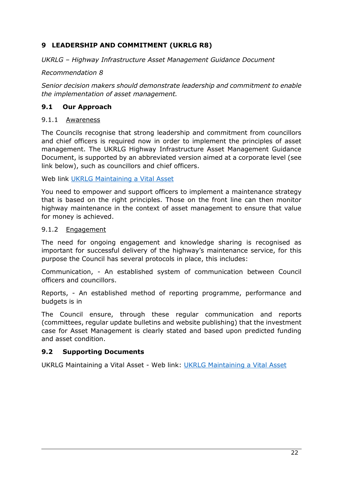# <span id="page-25-0"></span>**9 LEADERSHIP AND COMMITMENT (UKRLG R8)**

#### *UKRLG – Highway Infrastructure Asset Management Guidance Document*

#### *Recommendation 8*

*Senior decision makers should demonstrate leadership and commitment to enable the implementation of asset management.* 

#### **9.1 Our Approach**

#### 9.1.1 Awareness

The Councils recognise that strong leadership and commitment from councillors and chief officers is required now in order to implement the principles of asset management. The UKRLG Highway Infrastructure Asset Management Guidance Document, is supported by an abbreviated version aimed at a corporate level (see link below), such as councillors and chief officers.

Web link [UKRLG Maintaining a Vital Asset](https://www.theihe.org/wp-content/uploads/2020/07/Highways-Maintaining-a-vital-asset-What-should-Councillors-know-about-Asset-Management-PDF-4pages-148KB.pdf)

You need to empower and support officers to implement a maintenance strategy that is based on the right principles. Those on the front line can then monitor highway maintenance in the context of asset management to ensure that value for money is achieved.

#### 9.1.2 Engagement

The need for ongoing engagement and knowledge sharing is recognised as important for successful delivery of the highway's maintenance service, for this purpose the Council has several protocols in place, this includes:

Communication, - An established system of communication between Council officers and councillors.

Reports, - An established method of reporting programme, performance and budgets is in

The Council ensure, through these regular communication and reports (committees, regular update bulletins and website publishing) that the investment case for Asset Management is clearly stated and based upon predicted funding and asset condition.

#### **9.2 Supporting Documents**

UKRLG Maintaining a Vital Asset - Web link: [UKRLG Maintaining a Vital Asset](https://www.theihe.org/wp-content/uploads/2020/07/Highways-Maintaining-a-vital-asset-What-should-Councillors-know-about-Asset-Management-PDF-4pages-148KB.pdf)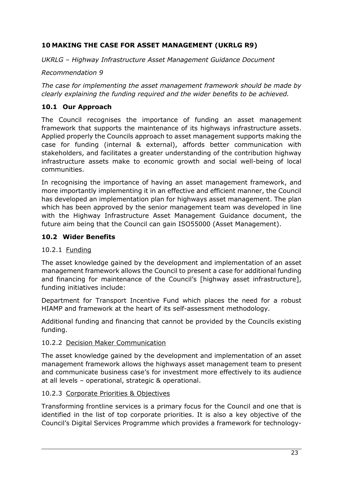# <span id="page-26-0"></span>**10 MAKING THE CASE FOR ASSET MANAGEMENT (UKRLG R9)**

*UKRLG – Highway Infrastructure Asset Management Guidance Document*

*Recommendation 9* 

*The case for implementing the asset management framework should be made by clearly explaining the funding required and the wider benefits to be achieved.* 

# **10.1 Our Approach**

The Council recognises the importance of funding an asset management framework that supports the maintenance of its highways infrastructure assets. Applied properly the Councils approach to asset management supports making the case for funding (internal & external), affords better communication with stakeholders, and facilitates a greater understanding of the contribution highway infrastructure assets make to economic growth and social well-being of local communities.

In recognising the importance of having an asset management framework, and more importantly implementing it in an effective and efficient manner, the Council has developed an implementation plan for highways asset management. The plan which has been approved by the senior management team was developed in line with the Highway Infrastructure Asset Management Guidance document, the future aim being that the Council can gain ISO55000 (Asset Management).

# **10.2 Wider Benefits**

# 10.2.1 Funding

The asset knowledge gained by the development and implementation of an asset management framework allows the Council to present a case for additional funding and financing for maintenance of the Council's [highway asset infrastructure], funding initiatives include:

Department for Transport Incentive Fund which places the need for a robust HIAMP and framework at the heart of its self-assessment methodology.

Additional funding and financing that cannot be provided by the Councils existing funding.

# 10.2.2 Decision Maker Communication

The asset knowledge gained by the development and implementation of an asset management framework allows the highways asset management team to present and communicate business case's for investment more effectively to its audience at all levels – operational, strategic & operational.

# 10.2.3 Corporate Priorities & Objectives

Transforming frontline services is a primary focus for the Council and one that is identified in the list of top corporate priorities. It is also a key objective of the Council's Digital Services Programme which provides a framework for technology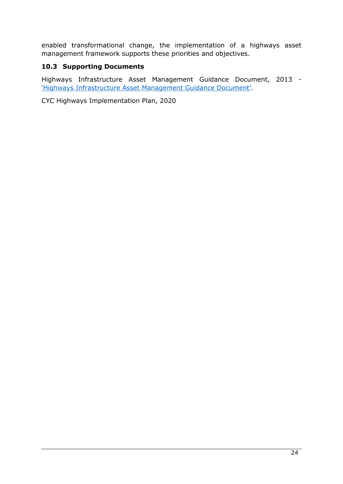enabled transformational change, the implementation of a highways asset management framework supports these priorities and objectives.

# **10.3 Supporting Documents**

Highways Infrastructure Asset Management Guidance Document, 2013 - ['Highways Infrastructure Asset Management Guidance Document'](https://ukrlg.ciht.org.uk/media/11918/hmep_ukrlg_asset_management_guidance_130520.pdf).

CYC Highways Implementation Plan, 2020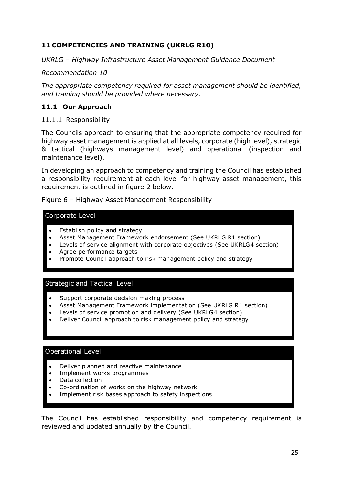# <span id="page-28-0"></span>**11 COMPETENCIES AND TRAINING (UKRLG R10)**

*UKRLG – Highway Infrastructure Asset Management Guidance Document*

*Recommendation 10* 

*The appropriate competency required for asset management should be identified, and training should be provided where necessary.*

# **11.1 Our Approach**

#### 11.1.1 Responsibility

The Councils approach to ensuring that the appropriate competency required for highway asset management is applied at all levels, corporate (high level), strategic & tactical (highways management level) and operational (inspection and maintenance level).

In developing an approach to competency and training the Council has established a responsibility requirement at each level for highway asset management, this requirement is outlined in figure 2 below.

<span id="page-28-1"></span>Figure 6 – Highway Asset Management Responsibility

#### Corporate Level

- Establish policy and strategy
- Asset Management Framework endorsement (See UKRLG R1 section)
- Levels of service alignment with corporate objectives (See UKRLG4 section)
- Agree performance targets
- Promote Council approach to risk management policy and strategy

#### Strategic and Tactical Level

- Support corporate decision making process
- Asset Management Framework implementation (See UKRLG R1 section)
- Levels of service promotion and delivery (See UKRLG4 section)
- Deliver Council approach to risk management policy and strategy

# Operational Level

- Deliver planned and reactive maintenance
- Implement works programmes
- Data collection
- Co-ordination of works on the highway network
- Implement risk bases approach to safety inspections

The Council has established responsibility and competency requirement is reviewed and updated annually by the Council.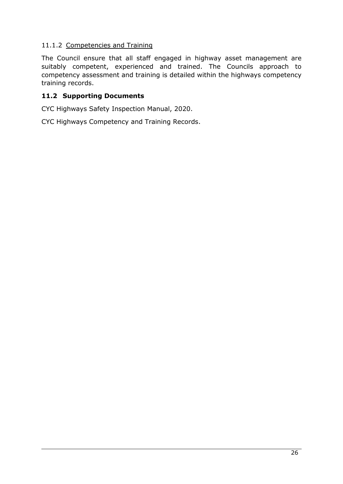# 11.1.2 Competencies and Training

The Council ensure that all staff engaged in highway asset management are suitably competent, experienced and trained. The Councils approach to competency assessment and training is detailed within the highways competency training records.

# **11.2 Supporting Documents**

CYC Highways Safety Inspection Manual, 2020.

CYC Highways Competency and Training Records.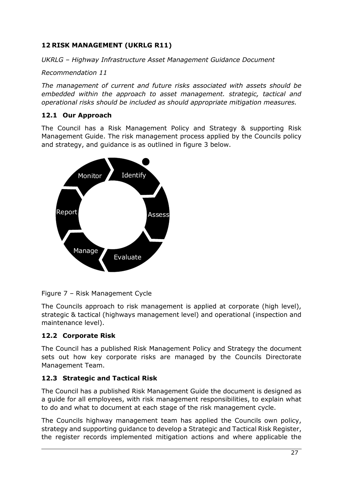# <span id="page-30-0"></span>**12 RISK MANAGEMENT (UKRLG R11)**

*UKRLG – Highway Infrastructure Asset Management Guidance Document*

*Recommendation 11* 

*The management of current and future risks associated with assets should be embedded within the approach to asset management. strategic, tactical and operational risks should be included as should appropriate mitigation measures.* 

# **12.1 Our Approach**

The Council has a Risk Management Policy and Strategy & supporting Risk Management Guide. The risk management process applied by the Councils policy and strategy, and guidance is as outlined in figure 3 below.



<span id="page-30-1"></span>Figure 7 – Risk Management Cycle

The Councils approach to risk management is applied at corporate (high level), strategic & tactical (highways management level) and operational (inspection and maintenance level).

# **12.2 Corporate Risk**

The Council has a published Risk Management Policy and Strategy the document sets out how key corporate risks are managed by the Councils Directorate Management Team.

# **12.3 Strategic and Tactical Risk**

The Council has a published Risk Management Guide the document is designed as a guide for all employees, with risk management responsibilities, to explain what to do and what to document at each stage of the risk management cycle.

The Councils highway management team has applied the Councils own policy, strategy and supporting guidance to develop a Strategic and Tactical Risk Register, the register records implemented mitigation actions and where applicable the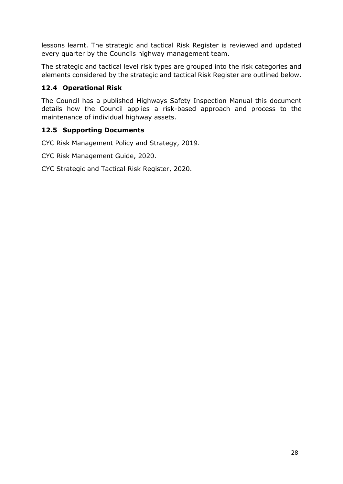lessons learnt. The strategic and tactical Risk Register is reviewed and updated every quarter by the Councils highway management team.

The strategic and tactical level risk types are grouped into the risk categories and elements considered by the strategic and tactical Risk Register are outlined below.

# **12.4 Operational Risk**

The Council has a published Highways Safety Inspection Manual this document details how the Council applies a risk-based approach and process to the maintenance of individual highway assets.

# **12.5 Supporting Documents**

CYC Risk Management Policy and Strategy, 2019.

CYC Risk Management Guide, 2020.

CYC Strategic and Tactical Risk Register, 2020.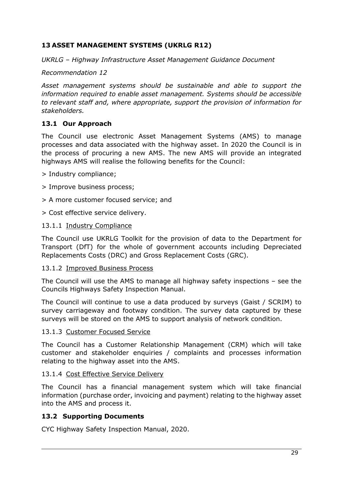# <span id="page-32-0"></span>**13 ASSET MANAGEMENT SYSTEMS (UKRLG R12)**

*UKRLG – Highway Infrastructure Asset Management Guidance Document*

#### *Recommendation 12*

*Asset management systems should be sustainable and able to support the information required to enable asset management. Systems should be accessible to relevant staff and, where appropriate, support the provision of information for stakeholders.*

# **13.1 Our Approach**

The Council use electronic Asset Management Systems (AMS) to manage processes and data associated with the highway asset. In 2020 the Council is in the process of procuring a new AMS. The new AMS will provide an integrated highways AMS will realise the following benefits for the Council:

- > Industry compliance;
- > Improve business process;
- > A more customer focused service; and
- > Cost effective service delivery.

#### 13.1.1 Industry Compliance

The Council use UKRLG Toolkit for the provision of data to the Department for Transport (DfT) for the whole of government accounts including Depreciated Replacements Costs (DRC) and Gross Replacement Costs (GRC).

#### 13.1.2 Improved Business Process

The Council will use the AMS to manage all highway safety inspections – see the Councils Highways Safety Inspection Manual.

The Council will continue to use a data produced by surveys (Gaist / SCRIM) to survey carriageway and footway condition. The survey data captured by these surveys will be stored on the AMS to support analysis of network condition.

#### 13.1.3 Customer Focused Service

The Council has a Customer Relationship Management (CRM) which will take customer and stakeholder enquiries / complaints and processes information relating to the highway asset into the AMS.

#### 13.1.4 Cost Effective Service Delivery

The Council has a financial management system which will take financial information (purchase order, invoicing and payment) relating to the highway asset into the AMS and process it.

# **13.2 Supporting Documents**

CYC Highway Safety Inspection Manual, 2020.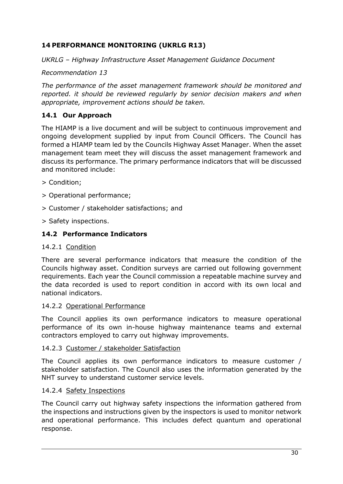# <span id="page-33-0"></span>**14 PERFORMANCE MONITORING (UKRLG R13)**

*UKRLG – Highway Infrastructure Asset Management Guidance Document*

*Recommendation 13* 

*The performance of the asset management framework should be monitored and reported. it should be reviewed regularly by senior decision makers and when appropriate, improvement actions should be taken.* 

# **14.1 Our Approach**

The HIAMP is a live document and will be subject to continuous improvement and ongoing development supplied by input from Council Officers. The Council has formed a HIAMP team led by the Councils Highway Asset Manager. When the asset management team meet they will discuss the asset management framework and discuss its performance. The primary performance indicators that will be discussed and monitored include:

- > Condition;
- > Operational performance;
- > Customer / stakeholder satisfactions; and
- > Safety inspections.

# **14.2 Performance Indicators**

#### 14.2.1 Condition

There are several performance indicators that measure the condition of the Councils highway asset. Condition surveys are carried out following government requirements. Each year the Council commission a repeatable machine survey and the data recorded is used to report condition in accord with its own local and national indicators.

#### 14.2.2 Operational Performance

The Council applies its own performance indicators to measure operational performance of its own in-house highway maintenance teams and external contractors employed to carry out highway improvements.

#### 14.2.3 Customer / stakeholder Satisfaction

The Council applies its own performance indicators to measure customer / stakeholder satisfaction. The Council also uses the information generated by the NHT survey to understand customer service levels.

#### 14.2.4 Safety Inspections

The Council carry out highway safety inspections the information gathered from the inspections and instructions given by the inspectors is used to monitor network and operational performance. This includes defect quantum and operational response.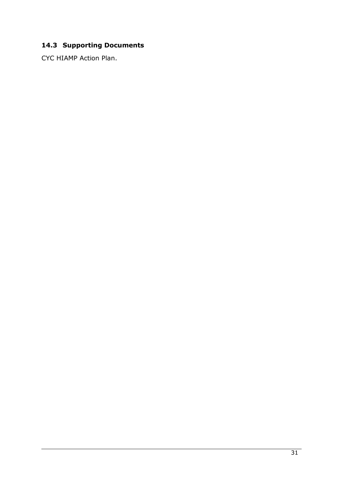# **14.3 Supporting Documents**

CYC HIAMP Action Plan.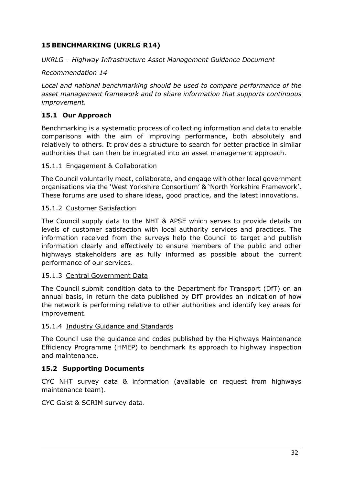# <span id="page-35-0"></span>**15 BENCHMARKING (UKRLG R14)**

# *UKRLG – Highway Infrastructure Asset Management Guidance Document*

# *Recommendation 14*

*Local and national benchmarking should be used to compare performance of the asset management framework and to share information that supports continuous improvement.*

# **15.1 Our Approach**

Benchmarking is a systematic process of collecting information and data to enable comparisons with the aim of improving performance, both absolutely and relatively to others. It provides a structure to search for better practice in similar authorities that can then be integrated into an asset management approach.

# 15.1.1 Engagement & Collaboration

The Council voluntarily meet, collaborate, and engage with other local government organisations via the 'West Yorkshire Consortium' & 'North Yorkshire Framework'. These forums are used to share ideas, good practice, and the latest innovations.

#### 15.1.2 Customer Satisfaction

The Council supply data to the NHT & APSE which serves to provide details on levels of customer satisfaction with local authority services and practices. The information received from the surveys help the Council to target and publish information clearly and effectively to ensure members of the public and other highways stakeholders are as fully informed as possible about the current performance of our services.

# 15.1.3 Central Government Data

The Council submit condition data to the Department for Transport (DfT) on an annual basis, in return the data published by DfT provides an indication of how the network is performing relative to other authorities and identify key areas for improvement.

# 15.1.4 Industry Guidance and Standards

The Council use the guidance and codes published by the Highways Maintenance Efficiency Programme (HMEP) to benchmark its approach to highway inspection and maintenance.

# **15.2 Supporting Documents**

CYC NHT survey data & information (available on request from highways maintenance team).

CYC Gaist & SCRIM survey data.